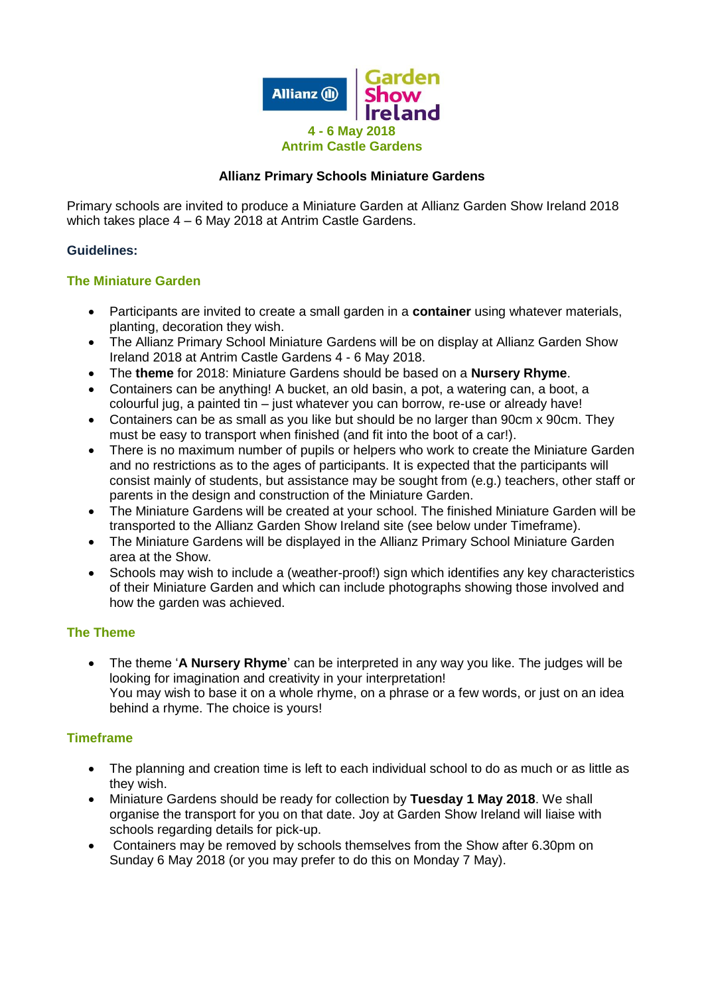

## **Allianz Primary Schools Miniature Gardens**

Primary schools are invited to produce a Miniature Garden at Allianz Garden Show Ireland 2018 which takes place 4 – 6 May 2018 at Antrim Castle Gardens.

### **Guidelines:**

### **The Miniature Garden**

- Participants are invited to create a small garden in a **container** using whatever materials, planting, decoration they wish.
- The Allianz Primary School Miniature Gardens will be on display at Allianz Garden Show Ireland 2018 at Antrim Castle Gardens 4 - 6 May 2018.
- The **theme** for 2018: Miniature Gardens should be based on a **Nursery Rhyme**.
- Containers can be anything! A bucket, an old basin, a pot, a watering can, a boot, a colourful jug, a painted tin – just whatever you can borrow, re-use or already have!
- Containers can be as small as you like but should be no larger than 90cm x 90cm. They must be easy to transport when finished (and fit into the boot of a car!).
- There is no maximum number of pupils or helpers who work to create the Miniature Garden and no restrictions as to the ages of participants. It is expected that the participants will consist mainly of students, but assistance may be sought from (e.g.) teachers, other staff or parents in the design and construction of the Miniature Garden.
- The Miniature Gardens will be created at your school. The finished Miniature Garden will be transported to the Allianz Garden Show Ireland site (see below under Timeframe).
- The Miniature Gardens will be displayed in the Allianz Primary School Miniature Garden area at the Show.
- Schools may wish to include a (weather-proof!) sign which identifies any key characteristics of their Miniature Garden and which can include photographs showing those involved and how the garden was achieved.

### **The Theme**

 The theme '**A Nursery Rhyme**' can be interpreted in any way you like. The judges will be looking for imagination and creativity in your interpretation! You may wish to base it on a whole rhyme, on a phrase or a few words, or just on an idea behind a rhyme. The choice is yours!

### **Timeframe**

- The planning and creation time is left to each individual school to do as much or as little as they wish.
- Miniature Gardens should be ready for collection by **Tuesday 1 May 2018**. We shall organise the transport for you on that date. Joy at Garden Show Ireland will liaise with schools regarding details for pick-up.
- Containers may be removed by schools themselves from the Show after 6.30pm on Sunday 6 May 2018 (or you may prefer to do this on Monday 7 May).